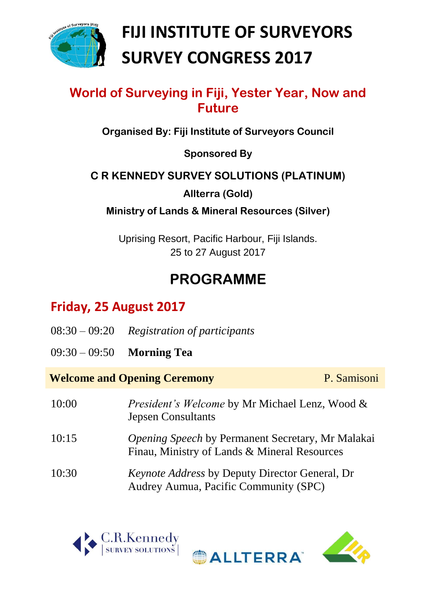

# **FIJI INSTITUTE OF SURVEYORS SURVEY CONGRESS 2017**

### **World of Surveying in Fiji, Yester Year, Now and Future**

**Organised By: Fiji Institute of Surveyors Council**

**Sponsored By**

#### **C R KENNEDY SURVEY SOLUTIONS (PLATINUM)**

**Allterra (Gold)**

**Ministry of Lands & Mineral Resources (Silver)**

Uprising Resort, Pacific Harbour, Fiji Islands. 25 to 27 August 2017

## **PROGRAMME**

## **Friday, 25 August 2017**

|                 | $08:30 - 09:20$ Registration of participants                                                             |             |  |
|-----------------|----------------------------------------------------------------------------------------------------------|-------------|--|
| $09:30 - 09:50$ | <b>Morning Tea</b>                                                                                       |             |  |
|                 | <b>Welcome and Opening Ceremony</b>                                                                      | P. Samisoni |  |
| 10:00           | <i>President's Welcome</i> by Mr Michael Lenz, Wood &<br><b>Jepsen Consultants</b>                       |             |  |
| 10:15           | <i>Opening Speech</i> by Permanent Secretary, Mr Malakai<br>Finau, Ministry of Lands & Mineral Resources |             |  |
| 10:30           | <i>Keynote Address</i> by Deputy Director General, Dr<br>Audrey Aumua, Pacific Community (SPC)           |             |  |



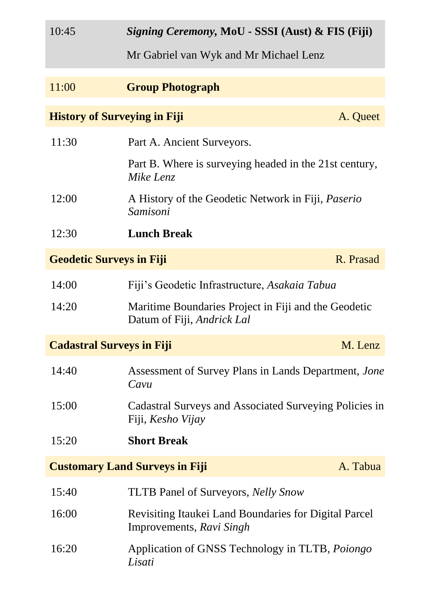| 10:45 | <i>Signing Ceremony</i> , MoU - SSSI (Aust) & FIS (Fiji)<br>Mr Gabriel van Wyk and Mr Michael Lenz |           |
|-------|----------------------------------------------------------------------------------------------------|-----------|
|       |                                                                                                    |           |
| 11:00 | <b>Group Photograph</b>                                                                            |           |
|       | <b>History of Surveying in Fiji</b>                                                                | A. Queet  |
| 11:30 | Part A. Ancient Surveyors.                                                                         |           |
|       | Part B. Where is surveying headed in the 21st century,<br>Mike Lenz                                |           |
| 12:00 | A History of the Geodetic Network in Fiji, <i>Paserio</i><br>Samisoni                              |           |
| 12:30 | <b>Lunch Break</b>                                                                                 |           |
|       | <b>Geodetic Surveys in Fiji</b>                                                                    | R. Prasad |
| 14:00 | Fiji's Geodetic Infrastructure, Asakaia Tabua                                                      |           |
| 14:20 | Maritime Boundaries Project in Fiji and the Geodetic<br>Datum of Fiji, Andrick Lal                 |           |
|       | <b>Cadastral Surveys in Fiji</b>                                                                   | M. Lenz   |
| 14:40 | Assessment of Survey Plans in Lands Department, Jone<br>Cavu                                       |           |
| 15:00 | Cadastral Surveys and Associated Surveying Policies in<br>Fiji, <i>Kesho Vijay</i>                 |           |
| 15:20 | <b>Short Break</b>                                                                                 |           |
|       | <b>Customary Land Surveys in Fiji</b>                                                              | A. Tabua  |
| 15:40 | <b>TLTB Panel of Surveyors, <i>Nelly Snow</i></b>                                                  |           |
| 16:00 | <b>Revisiting Itaukei Land Boundaries for Digital Parcel</b><br>Improvements, Ravi Singh           |           |
| 16:20 | Application of GNSS Technology in TLTB, Poiongo<br>Lisati                                          |           |
|       |                                                                                                    |           |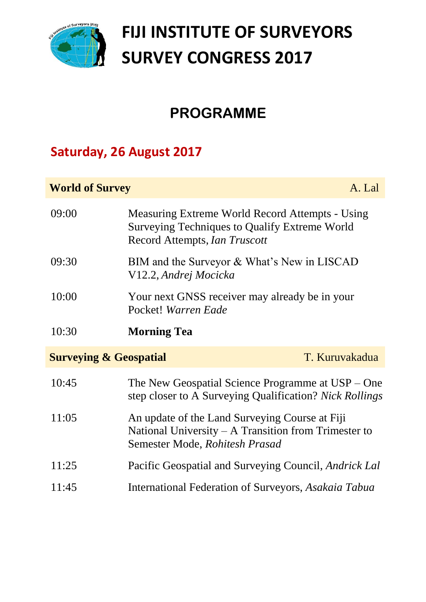

# **FIJI INSTITUTE OF SURVEYORS SURVEY CONGRESS 2017**

## **PROGRAMME**

### **Saturday, 26 August 2017**

#### **World of Survey** A. Lal

| 09:00                             | Measuring Extreme World Record Attempts - Using<br><b>Surveying Techniques to Qualify Extreme World</b>                                    |                |
|-----------------------------------|--------------------------------------------------------------------------------------------------------------------------------------------|----------------|
|                                   | Record Attempts, Ian Truscott                                                                                                              |                |
| 09:30                             | BIM and the Surveyor & What's New in LISCAD<br>V12.2, Andrej Mocicka                                                                       |                |
| 10:00                             | Your next GNSS receiver may already be in your<br>Pocket! Warren Eade                                                                      |                |
| 10:30                             | <b>Morning Tea</b>                                                                                                                         |                |
|                                   |                                                                                                                                            |                |
| <b>Surveying &amp; Geospatial</b> |                                                                                                                                            | T. Kuruvakadua |
| 10:45                             | The New Geospatial Science Programme at $USP - One$<br>step closer to A Surveying Qualification? Nick Rollings                             |                |
| 11:05                             | An update of the Land Surveying Course at Fiji<br>National University $- A$ Transition from Trimester to<br>Semester Mode, Rohitesh Prasad |                |
| 11:25                             | Pacific Geospatial and Surveying Council, <i>Andrick Lal</i>                                                                               |                |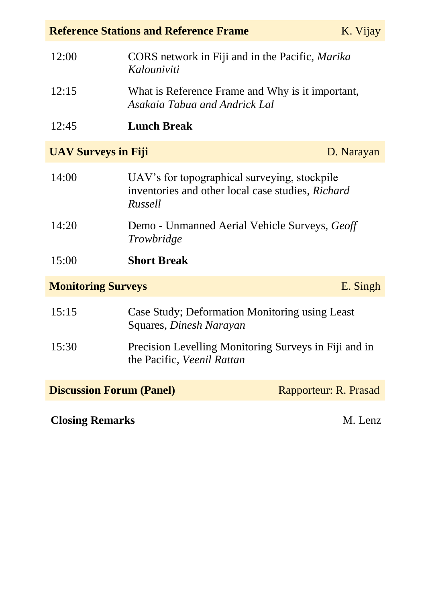| <b>Reference Stations and Reference Frame</b><br>K. Vijay |                                                                                                              |                       |  |
|-----------------------------------------------------------|--------------------------------------------------------------------------------------------------------------|-----------------------|--|
| 12:00                                                     | CORS network in Fiji and in the Pacific, Marika<br>Kalouniviti                                               |                       |  |
| 12:15                                                     | What is Reference Frame and Why is it important,<br>Asakaia Tabua and Andrick Lal                            |                       |  |
| 12:45                                                     | <b>Lunch Break</b>                                                                                           |                       |  |
| <b>UAV Surveys in Fiji</b>                                |                                                                                                              | D. Narayan            |  |
| 14:00                                                     | UAV's for topographical surveying, stockpile<br>inventories and other local case studies, Richard<br>Russell |                       |  |
| 14:20                                                     | Demo - Unmanned Aerial Vehicle Surveys, Geoff<br>Trowbridge                                                  |                       |  |
| 15:00                                                     | <b>Short Break</b>                                                                                           |                       |  |
| <b>Monitoring Surveys</b>                                 |                                                                                                              | E. Singh              |  |
| 15:15                                                     | Case Study; Deformation Monitoring using Least<br>Squares, <i>Dinesh Narayan</i>                             |                       |  |
| 15:30                                                     | Precision Levelling Monitoring Surveys in Fiji and in<br>the Pacific, Veenil Rattan                          |                       |  |
| <b>Discussion Forum (Panel)</b>                           |                                                                                                              | Rapporteur: R. Prasad |  |
| <b>Closing Remarks</b><br>M. Lenz                         |                                                                                                              |                       |  |